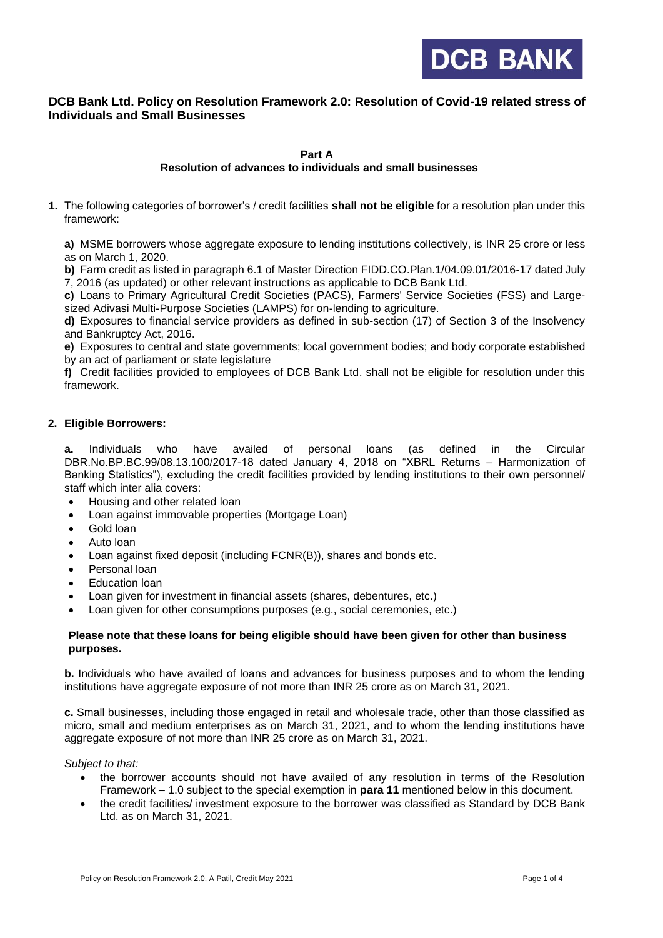

# **DCB Bank Ltd. Policy on Resolution Framework 2.0: Resolution of Covid-19 related stress of Individuals and Small Businesses**

**Part A**

## **Resolution of advances to individuals and small businesses**

**1.** The following categories of borrower's / credit facilities **shall not be eligible** for a resolution plan under this framework:

**a)** MSME borrowers whose aggregate exposure to lending institutions collectively, is INR 25 crore or less as on March 1, 2020.

**b)** Farm credit as listed in paragraph 6.1 of Master Direction FIDD.CO.Plan.1/04.09.01/2016-17 dated July 7, 2016 (as updated) or other relevant instructions as applicable to DCB Bank Ltd.

**c)** Loans to Primary Agricultural Credit Societies (PACS), Farmers' Service Societies (FSS) and Largesized Adivasi Multi-Purpose Societies (LAMPS) for on-lending to agriculture.

**d)** Exposures to financial service providers as defined in sub-section (17) of Section 3 of the Insolvency and Bankruptcy Act, 2016.

**e)** Exposures to central and state governments; local government bodies; and body corporate established by an act of parliament or state legislature

**f)** Credit facilities provided to employees of DCB Bank Ltd. shall not be eligible for resolution under this framework.

## **2. Eligible Borrowers:**

**a.** Individuals who have availed of personal loans (as defined in the Circular DBR.No.BP.BC.99/08.13.100/2017-18 dated January 4, 2018 on "XBRL Returns – Harmonization of Banking Statistics"), excluding the credit facilities provided by lending institutions to their own personnel/ staff which inter alia covers:

- Housing and other related loan
- Loan against immovable properties (Mortgage Loan)
- Gold loan
- Auto loan
- Loan against fixed deposit (including FCNR(B)), shares and bonds etc.
- Personal loan
- Education loan
- Loan given for investment in financial assets (shares, debentures, etc.)
- Loan given for other consumptions purposes (e.g., social ceremonies, etc.)

#### **Please note that these loans for being eligible should have been given for other than business purposes.**

**b.** Individuals who have availed of loans and advances for business purposes and to whom the lending institutions have aggregate exposure of not more than INR 25 crore as on March 31, 2021.

**c.** Small businesses, including those engaged in retail and wholesale trade, other than those classified as micro, small and medium enterprises as on March 31, 2021, and to whom the lending institutions have aggregate exposure of not more than INR 25 crore as on March 31, 2021.

*Subject to that:* 

- the borrower accounts should not have availed of any resolution in terms of the Resolution Framework – 1.0 subject to the special exemption in **para 11** mentioned below in this document.
- the credit facilities/ investment exposure to the borrower was classified as Standard by DCB Bank Ltd. as on March 31, 2021.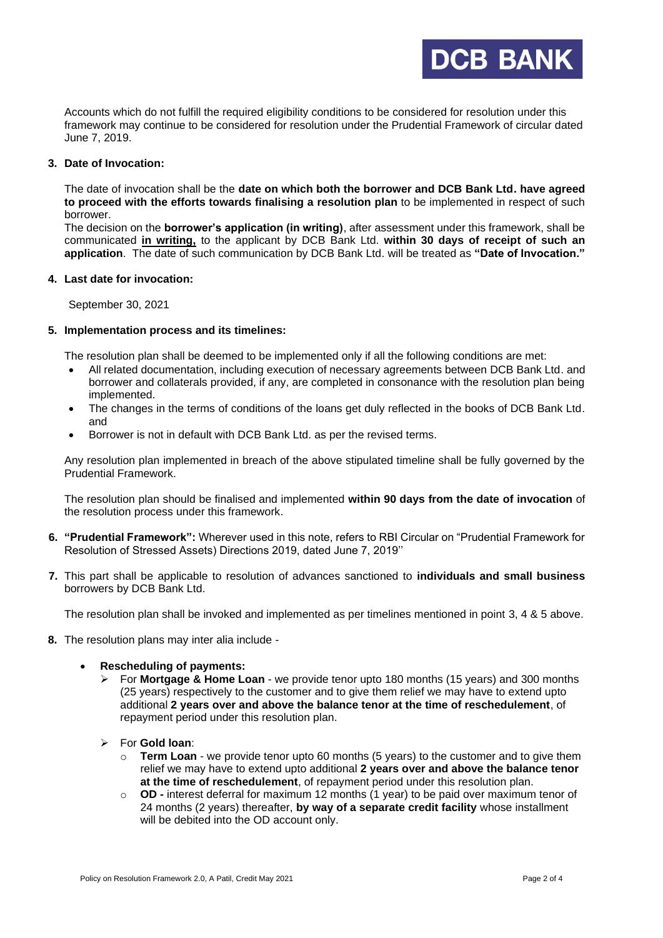

Accounts which do not fulfill the required eligibility conditions to be considered for resolution under this framework may continue to be considered for resolution under the Prudential Framework of circular dated June 7, 2019.

### **3. Date of Invocation:**

The date of invocation shall be the **date on which both the borrower and DCB Bank Ltd. have agreed to proceed with the efforts towards finalising a resolution plan** to be implemented in respect of such borrower.

The decision on the **borrower's application (in writing)**, after assessment under this framework, shall be communicated **in writing,** to the applicant by DCB Bank Ltd. **within 30 days of receipt of such an application**. The date of such communication by DCB Bank Ltd. will be treated as **"Date of Invocation."**

#### **4. Last date for invocation:**

September 30, 2021

#### **5. Implementation process and its timelines:**

The resolution plan shall be deemed to be implemented only if all the following conditions are met:

- All related documentation, including execution of necessary agreements between DCB Bank Ltd. and borrower and collaterals provided, if any, are completed in consonance with the resolution plan being implemented.
- The changes in the terms of conditions of the loans get duly reflected in the books of DCB Bank Ltd. and
- Borrower is not in default with DCB Bank Ltd. as per the revised terms.

Any resolution plan implemented in breach of the above stipulated timeline shall be fully governed by the Prudential Framework.

The resolution plan should be finalised and implemented **within 90 days from the date of invocation** of the resolution process under this framework.

- **6. "Prudential Framework":** Wherever used in this note, refers to RBI Circular on "Prudential Framework for Resolution of Stressed Assets) Directions 2019, dated June 7, 2019''
- **7.** This part shall be applicable to resolution of advances sanctioned to **individuals and small business** borrowers by DCB Bank Ltd.

The resolution plan shall be invoked and implemented as per timelines mentioned in point 3, 4 & 5 above.

**8.** The resolution plans may inter alia include -

### • **Rescheduling of payments:**

- ➢ For **Mortgage & Home Loan**  we provide tenor upto 180 months (15 years) and 300 months (25 years) respectively to the customer and to give them relief we may have to extend upto additional **2 years over and above the balance tenor at the time of reschedulement**, of repayment period under this resolution plan.
- ➢ For **Gold loan**:
	- o **Term Loan** we provide tenor upto 60 months (5 years) to the customer and to give them relief we may have to extend upto additional **2 years over and above the balance tenor at the time of reschedulement**, of repayment period under this resolution plan.
	- o **OD -** interest deferral for maximum 12 months (1 year) to be paid over maximum tenor of 24 months (2 years) thereafter, **by way of a separate credit facility** whose installment will be debited into the OD account only.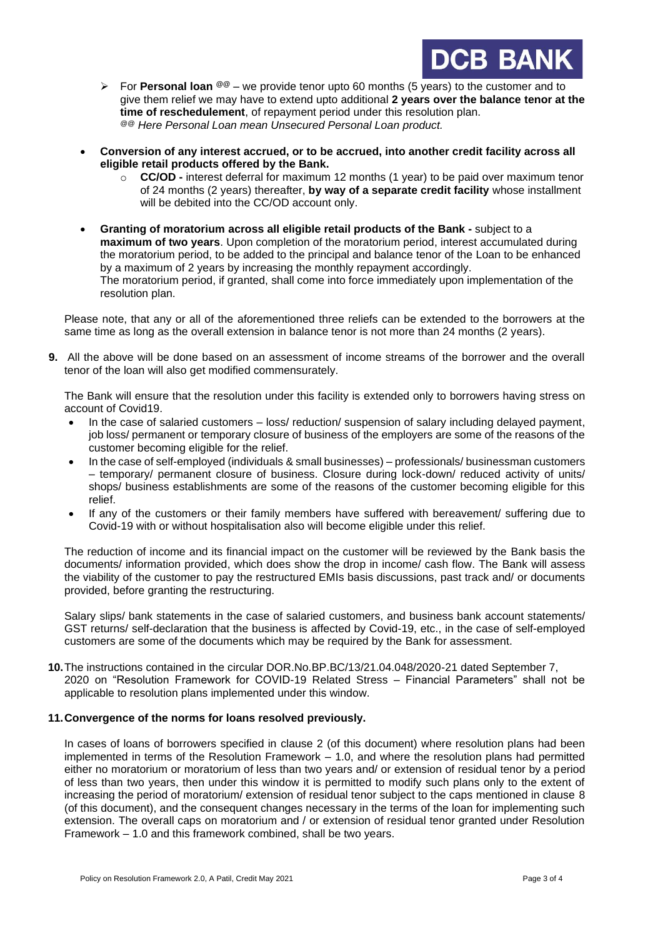

- ➢ For **Personal loan @@** we provide tenor upto 60 months (5 years) to the customer and to give them relief we may have to extend upto additional **2 years over the balance tenor at the time of reschedulement**, of repayment period under this resolution plan. *@@ Here Personal Loan mean Unsecured Personal Loan product.*
- **Conversion of any interest accrued, or to be accrued, into another credit facility across all eligible retail products offered by the Bank.**
	- o **CC/OD -** interest deferral for maximum 12 months (1 year) to be paid over maximum tenor of 24 months (2 years) thereafter, **by way of a separate credit facility** whose installment will be debited into the CC/OD account only.
- **Granting of moratorium across all eligible retail products of the Bank -** subject to a **maximum of two years**. Upon completion of the moratorium period, interest accumulated during the moratorium period, to be added to the principal and balance tenor of the Loan to be enhanced by a maximum of 2 years by increasing the monthly repayment accordingly. The moratorium period, if granted, shall come into force immediately upon implementation of the resolution plan.

Please note, that any or all of the aforementioned three reliefs can be extended to the borrowers at the same time as long as the overall extension in balance tenor is not more than 24 months (2 years).

**9.** All the above will be done based on an assessment of income streams of the borrower and the overall tenor of the loan will also get modified commensurately.

The Bank will ensure that the resolution under this facility is extended only to borrowers having stress on account of Covid19.

- In the case of salaried customers loss/ reduction/ suspension of salary including delayed payment, job loss/ permanent or temporary closure of business of the employers are some of the reasons of the customer becoming eligible for the relief.
- In the case of self-employed (individuals & small businesses) professionals/ businessman customers – temporary/ permanent closure of business. Closure during lock-down/ reduced activity of units/ shops/ business establishments are some of the reasons of the customer becoming eligible for this relief.
- If any of the customers or their family members have suffered with bereavement/ suffering due to Covid-19 with or without hospitalisation also will become eligible under this relief.

The reduction of income and its financial impact on the customer will be reviewed by the Bank basis the documents/ information provided, which does show the drop in income/ cash flow. The Bank will assess the viability of the customer to pay the restructured EMIs basis discussions, past track and/ or documents provided, before granting the restructuring.

Salary slips/ bank statements in the case of salaried customers, and business bank account statements/ GST returns/ self-declaration that the business is affected by Covid-19, etc., in the case of self-employed customers are some of the documents which may be required by the Bank for assessment.

**10.**The instructions contained in the circular DOR.No.BP.BC/13/21.04.048/2020-21 dated September 7, 2020 on "Resolution Framework for COVID-19 Related Stress – Financial Parameters" shall not be applicable to resolution plans implemented under this window.

## **11.Convergence of the norms for loans resolved previously.**

In cases of loans of borrowers specified in clause 2 (of this document) where resolution plans had been implemented in terms of the Resolution Framework – 1.0, and where the resolution plans had permitted either no moratorium or moratorium of less than two years and/ or extension of residual tenor by a period of less than two years, then under this window it is permitted to modify such plans only to the extent of increasing the period of moratorium/ extension of residual tenor subject to the caps mentioned in clause 8 (of this document), and the consequent changes necessary in the terms of the loan for implementing such extension. The overall caps on moratorium and / or extension of residual tenor granted under Resolution Framework – 1.0 and this framework combined, shall be two years.